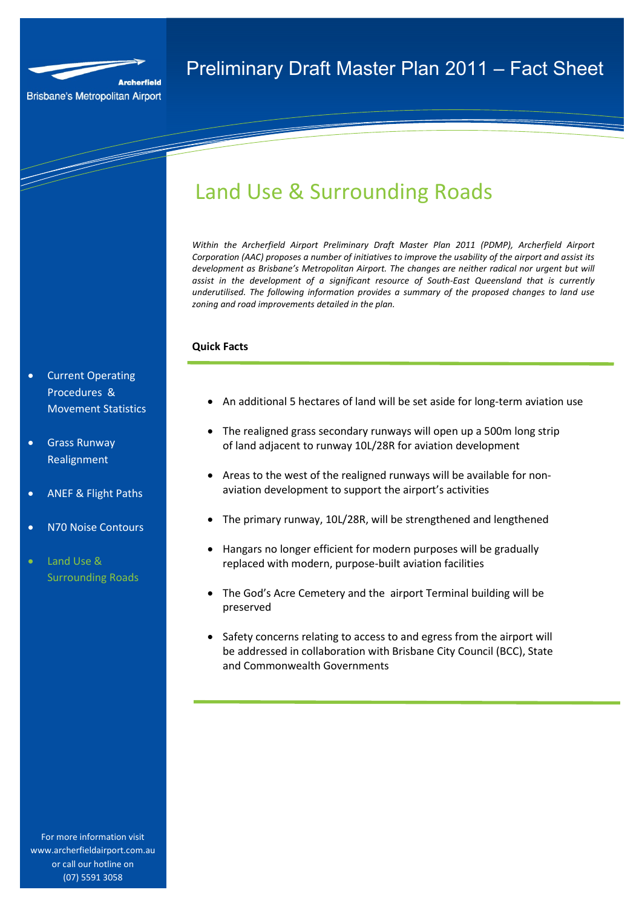

a de de la década de la década de la década de la década de la década de la década de la década de la década d<br>Casa de la década de la década de la década de la década de la década de la década de la década de la década d

## Preliminary Draft Master Plan 2011 – Fact Sheet

# Land Use & Surrounding Roads

*Within the Archerfield Airport Preliminary Draft Master Plan 2011 (PDMP), Archerfield Airport Corporation (AAC) proposes a number of initiatives to improve the usability of the airport and assist its development as Brisbane's Metropolitan Airport. The changes are neither radical nor urgent but will assist in the development of a significant resource of South-East Queensland that is currently underutilised. The following information provides a summary of the proposed changes to land use zoning and road improvements detailed in the plan.* 

### **Quick Facts**

- Current Operating Procedures & Movement Statistics
- Grass Runway Realignment
- ANEF & Flight Paths
- N70 Noise Contours
- Land Use & Surrounding Roads

For more information visit www.archerfieldairport.com.au or call our hotline on (07) 5591 3058

### • An additional 5 hectares of land will be set aside for long-term aviation use

- The realigned grass secondary runways will open up a 500m long strip of land adjacent to runway 10L/28R for aviation development
- Areas to the west of the realigned runways will be available for nonaviation development to support the airport's activities
- The primary runway, 10L/28R, will be strengthened and lengthened
- Hangars no longer efficient for modern purposes will be gradually replaced with modern, purpose-built aviation facilities
- The God's Acre Cemetery and the airport Terminal building will be preserved
- Safety concerns relating to access to and egress from the airport will be addressed in collaboration with Brisbane City Council (BCC), State and Commonwealth Governments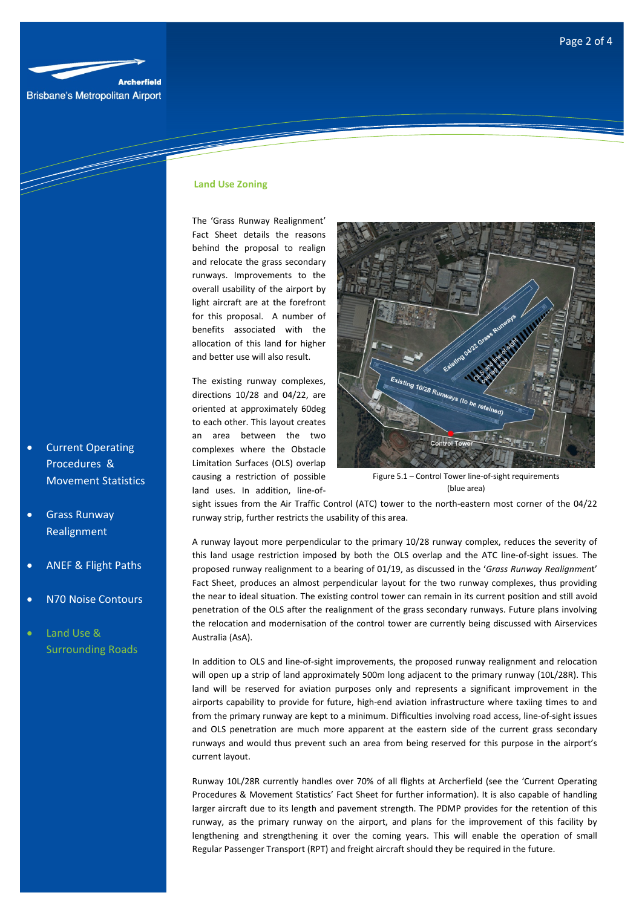

**Brisbane's Metropolitan Airport** 

<u>San Sarajara San Sarajara Sarajara Sarajara Sarajara Sarajara Sarajara Sarajara Sarajara Sarajara Sarajara S</u>

## **Land Use Zoning**

The 'Grass Runway Realignment' Fact Sheet details the reasons behind the proposal to realign and relocate the grass secondary runways. Improvements to the overall usability of the airport by light aircraft are at the forefront for this proposal. A number of benefits associated with the allocation of this land for higher and better use will also result.

The existing runway complexes, directions 10/28 and 04/22, are oriented at approximately 60deg to each other. This layout creates an area between the two complexes where the Obstacle Limitation Surfaces (OLS) overlap causing a restriction of possible land uses. In addition, line-of-



Figure 5.1 – Control Tower line-of-sight requirements (blue area)

sight issues from the Air Traffic Control (ATC) tower to the north-eastern most corner of the 04/22 runway strip, further restricts the usability of this area.

A runway layout more perpendicular to the primary 10/28 runway complex, reduces the severity of this land usage restriction imposed by both the OLS overlap and the ATC line-of-sight issues. The proposed runway realignment to a bearing of 01/19, as discussed in the '*Grass Runway Realignmen*t' Fact Sheet, produces an almost perpendicular layout for the two runway complexes, thus providing the near to ideal situation. The existing control tower can remain in its current position and still avoid penetration of the OLS after the realignment of the grass secondary runways. Future plans involving the relocation and modernisation of the control tower are currently being discussed with Airservices Australia (AsA).

In addition to OLS and line-of-sight improvements, the proposed runway realignment and relocation will open up a strip of land approximately 500m long adjacent to the primary runway (10L/28R). This land will be reserved for aviation purposes only and represents a significant improvement in the airports capability to provide for future, high-end aviation infrastructure where taxiing times to and from the primary runway are kept to a minimum. Difficulties involving road access, line-of-sight issues and OLS penetration are much more apparent at the eastern side of the current grass secondary runways and would thus prevent such an area from being reserved for this purpose in the airport's current layout.

Runway 10L/28R currently handles over 70% of all flights at Archerfield (see the 'Current Operating Procedures & Movement Statistics' Fact Sheet for further information). It is also capable of handling larger aircraft due to its length and pavement strength. The PDMP provides for the retention of this runway, as the primary runway on the airport, and plans for the improvement of this facility by lengthening and strengthening it over the coming years. This will enable the operation of small Regular Passenger Transport (RPT) and freight aircraft should they be required in the future.

- Current Operating Procedures & Movement Statistics
- Grass Runway Realignment
- ANEF & Flight Paths
- N70 Noise Contours
- Land Use & Surrounding Roads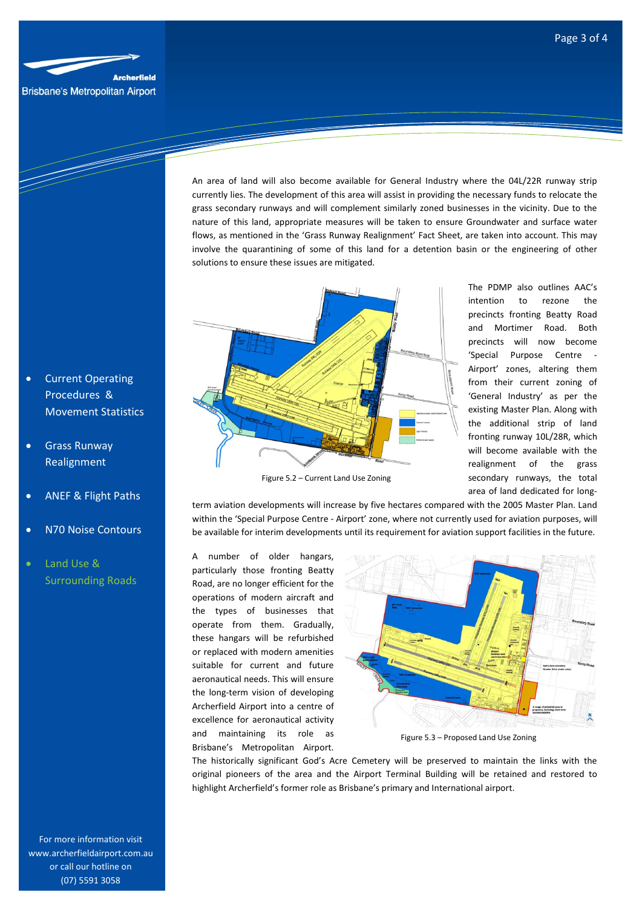

T

An area of land will also become available for General Industry where the 04L/22R runway strip currently lies. The development of this area will assist in providing the necessary funds to relocate the grass secondary runways and will complement similarly zoned businesses in the vicinity. Due to the nature of this land, appropriate measures will be taken to ensure Groundwater and surface water flows, as mentioned in the 'Grass Runway Realignment' Fact Sheet, are taken into account. This may involve the quarantining of some of this land for a detention basin or the engineering of other solutions to ensure these issues are mitigated.



Figure 5.2 – Current Land Use Zoning

The PDMP also outlines AAC's intention to rezone the precincts fronting Beatty Road and Mortimer Road. Both precincts will now become 'Special Purpose Centre - Airport' zones, altering them from their current zoning of 'General Industry' as per the existing Master Plan. Along with the additional strip of land fronting runway 10L/28R, which will become available with the realignment of the grass secondary runways, the total area of land dedicated for long-

term aviation developments will increase by five hectares compared with the 2005 Master Plan. Land within the 'Special Purpose Centre - Airport' zone, where not currently used for aviation purposes, will be available for interim developments until its requirement for aviation support facilities in the future.

A number of older hangars, particularly those fronting Beatty Road, are no longer efficient for the operations of modern aircraft and the types of businesses that operate from them. Gradually, these hangars will be refurbished or replaced with modern amenities suitable for current and future aeronautical needs. This will ensure the long-term vision of developing Archerfield Airport into a centre of excellence for aeronautical activity and maintaining its role as Brisbane's Metropolitan Airport.



Figure 5.3 – Proposed Land Use Zoning

The historically significant God's Acre Cemetery will be preserved to maintain the links with the original pioneers of the area and the Airport Terminal Building will be retained and restored to highlight Archerfield's former role as Brisbane's primary and International airport.

- **Current Operating** Procedures & Movement Statistics
- Grass Runway Realignment
- ANEF & Flight Paths
- N70 Noise Contours
- Land Use & Surrounding Roads

For more information visit www.archerfieldairport.com.au or call our hotline on (07) 5591 3058